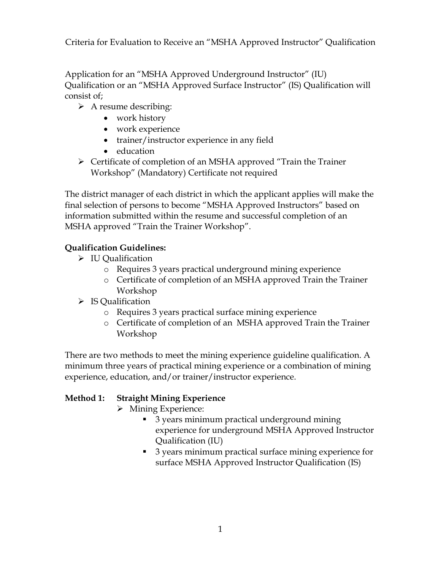Criteria for Evaluation to Receive an "MSHA Approved Instructor" Qualification

Application for an "MSHA Approved Underground Instructor" (IU) Qualification or an "MSHA Approved Surface Instructor" (IS) Qualification will consist of;

- $\triangleright$  A resume describing:
	- work history
	- work experience
	- trainer/instructor experience in any field
	- education
- Certificate of completion of an MSHA approved "Train the Trainer Workshop" (Mandatory) Certificate not required

The district manager of each district in which the applicant applies will make the final selection of persons to become "MSHA Approved Instructors" based on information submitted within the resume and successful completion of an MSHA approved "Train the Trainer Workshop".

## **Qualification Guidelines:**

- $\triangleright$  IU Oualification
	- o Requires 3 years practical underground mining experience
	- o Certificate of completion of an MSHA approved Train the Trainer Workshop
- $\triangleright$  IS Qualification
	- o Requires 3 years practical surface mining experience
	- o Certificate of completion of an MSHA approved Train the Trainer Workshop

There are two methods to meet the mining experience guideline qualification. A minimum three years of practical mining experience or a combination of mining experience, education, and/or trainer/instructor experience.

## **Method 1: Straight Mining Experience**

- > Mining Experience:
	- 3 years minimum practical underground mining experience for underground MSHA Approved Instructor Qualification (IU)
	- 3 years minimum practical surface mining experience for surface MSHA Approved Instructor Qualification (IS)